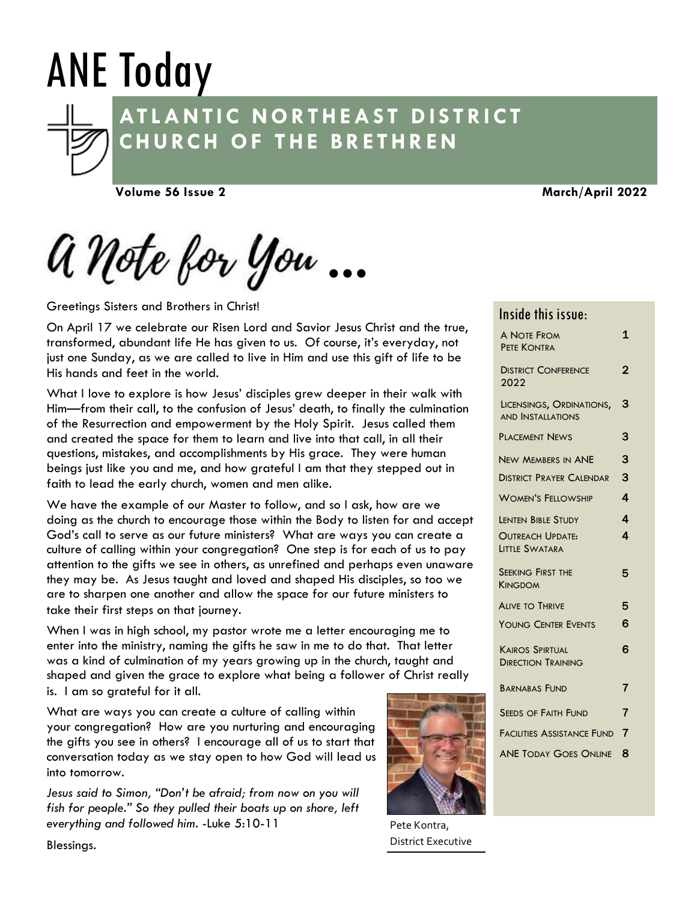# ANE Today



# **AT L A N T I C N O R T H E A S T D I S T R I C T C H U RC H O F T H E B R E T H R E N**

**Volume 56 Issue 2**

**March/April 2022**

a Note for you •••

Greetings Sisters and Brothers in Christ!

On April 17 we celebrate our Risen Lord and Savior Jesus Christ and the true, transformed, abundant life He has given to us. Of course, it's everyday, not just one Sunday, as we are called to live in Him and use this gift of life to be His hands and feet in the world.

What I love to explore is how Jesus' disciples grew deeper in their walk with Him—from their call, to the confusion of Jesus' death, to finally the culmination of the Resurrection and empowerment by the Holy Spirit. Jesus called them and created the space for them to learn and live into that call, in all their questions, mistakes, and accomplishments by His grace. They were human beings just like you and me, and how grateful I am that they stepped out in faith to lead the early church, women and men alike.

We have the example of our Master to follow, and so I ask, how are we doing as the church to encourage those within the Body to listen for and accept God's call to serve as our future ministers? What are ways you can create a culture of calling within your congregation? One step is for each of us to pay attention to the gifts we see in others, as unrefined and perhaps even unaware they may be. As Jesus taught and loved and shaped His disciples, so too we are to sharpen one another and allow the space for our future ministers to take their first steps on that journey.

When I was in high school, my pastor wrote me a letter encouraging me to enter into the ministry, naming the gifts he saw in me to do that. That letter was a kind of culmination of my years growing up in the church, taught and shaped and given the grace to explore what being a follower of Christ really is. I am so grateful for it all.

What are ways you can create a culture of calling within your congregation? How are you nurturing and encouraging the gifts you see in others? I encourage all of us to start that conversation today as we stay open to how God will lead us into tomorrow.

*Jesus said to Simon, "Don't be afraid; from now on you will fish for people." So they pulled their boats up on shore, left everything and followed him.* -Luke 5:10-11

Blessings.



Pete Kontra, District Executive

# Inside this issue:

| <b>A NOTE FROM</b><br>PETE KONTRA                    | 1 |
|------------------------------------------------------|---|
| <b>DISTRICT CONFERENCE</b><br>2022                   | 2 |
| LICENSINGS, ORDINATIONS,<br><b>AND INSTALLATIONS</b> | 3 |
| <b>PLACEMENT NEWS</b>                                | 3 |
| <b>NEW MEMBERS IN ANE</b>                            | 3 |
| <b>DISTRICT PRAYER CALENDAR</b>                      | 3 |
| <b>WOMEN'S FELLOWSHIP</b>                            | 4 |
| <b>LENTEN BIBLE STUDY</b>                            | 4 |
| <b>OUTREACH UPDATE:</b><br>LITTLE SWATARA            | 4 |
| <b>SEEKING FIRST THE</b><br><b>KINGDOM</b>           | 5 |
| <b>ALIVE TO THRIVE</b>                               | 5 |
| <b>YOUNG CENTER EVENTS</b>                           | 6 |
| <b>KAIROS SPIRTUAL</b><br><b>DIRECTION TRAINING</b>  | 6 |
| <b>BARNABAS FUND</b>                                 | 7 |
| <b>SEEDS OF FAITH FUND</b>                           | 7 |
| FACILITIES ASSISTANCE FUND 7                         |   |
| <b>ANE TODAY GOES ONLINE</b>                         | 8 |
|                                                      |   |

I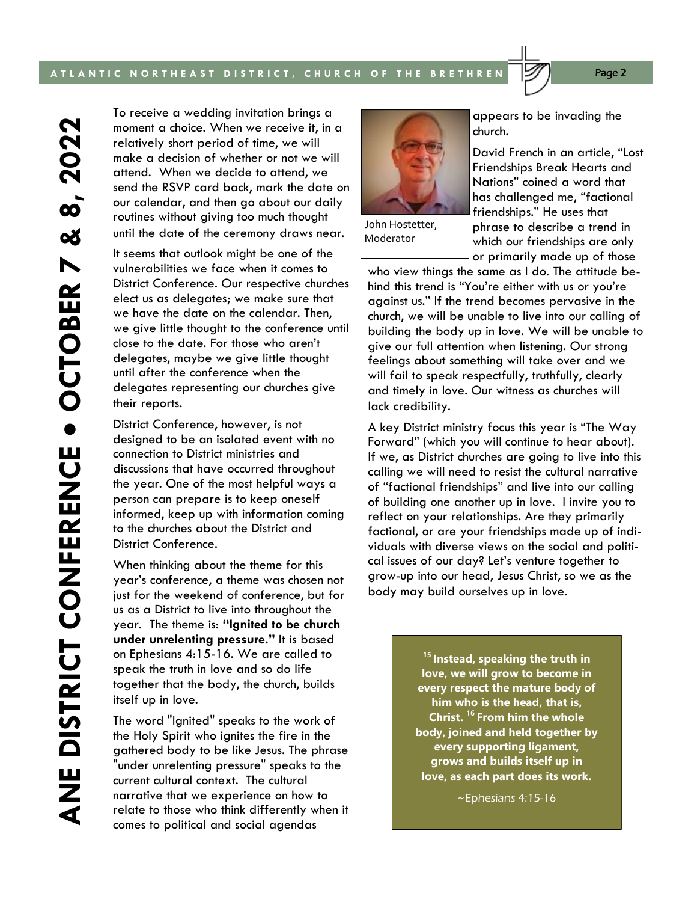#### A TLANTIC NORTHEAST DISTRICT, CHURCH OF THE BRETHREN **1999** Page 2

2022 **OCTOBER 7 & 8, 2022**  $\dot{\mathbf{0}}$ œ N ANE DISTRICT CONFERENCE . OCTOBER **ANE DISTRICT CONFERENCE** 

To receive a wedding invitation brings a moment a choice. When we receive it, in a relatively short period of time, we will make a decision of whether or not we will attend. When we decide to attend, we send the RSVP card back, mark the date on our calendar, and then go about our daily routines without giving too much thought until the date of the ceremony draws near.

It seems that outlook might be one of the vulnerabilities we face when it comes to District Conference. Our respective churches elect us as delegates; we make sure that we have the date on the calendar. Then, we give little thought to the conference until close to the date. For those who aren't delegates, maybe we give little thought until after the conference when the delegates representing our churches give their reports.

District Conference, however, is not designed to be an isolated event with no connection to District ministries and discussions that have occurred throughout the year. One of the most helpful ways a person can prepare is to keep oneself informed, keep up with information coming to the churches about the District and District Conference.

When thinking about the theme for this year's conference, a theme was chosen not just for the weekend of conference, but for us as a District to live into throughout the year. The theme is: **"Ignited to be church under unrelenting pressure."** It is based on Ephesians 4:15-16. We are called to speak the truth in love and so do life together that the body, the church, builds itself up in love.

The word "Ignited" speaks to the work of the Holy Spirit who ignites the fire in the gathered body to be like Jesus. The phrase "under unrelenting pressure" speaks to the current cultural context. The cultural narrative that we experience on how to relate to those who think differently when it comes to political and social agendas

John Hostetter, Moderator

appears to be invading the church.

David French in an article, "Lost Friendships Break Hearts and Nations" coined a word that has challenged me, "factional friendships." He uses that phrase to describe a trend in which our friendships are only or primarily made up of those

who view things the same as I do. The attitude behind this trend is "You're either with us or you're against us." If the trend becomes pervasive in the church, we will be unable to live into our calling of building the body up in love. We will be unable to give our full attention when listening. Our strong feelings about something will take over and we will fail to speak respectfully, truthfully, clearly and timely in love. Our witness as churches will lack credibility.

A key District ministry focus this year is "The Way Forward" (which you will continue to hear about). If we, as District churches are going to live into this calling we will need to resist the cultural narrative of "factional friendships" and live into our calling of building one another up in love. I invite you to reflect on your relationships. Are they primarily factional, or are your friendships made up of individuals with diverse views on the social and political issues of our day? Let's venture together to grow-up into our head, Jesus Christ, so we as the body may build ourselves up in love.

> **<sup>15</sup> Instead, speaking the truth in love, we will grow to become in every respect the mature body of him who is the head, that is, Christ. <sup>16</sup> From him the whole body, joined and held together by every supporting ligament, grows and builds itself up in love, as each part does its work.**

> > ~Ephesians 4:15-16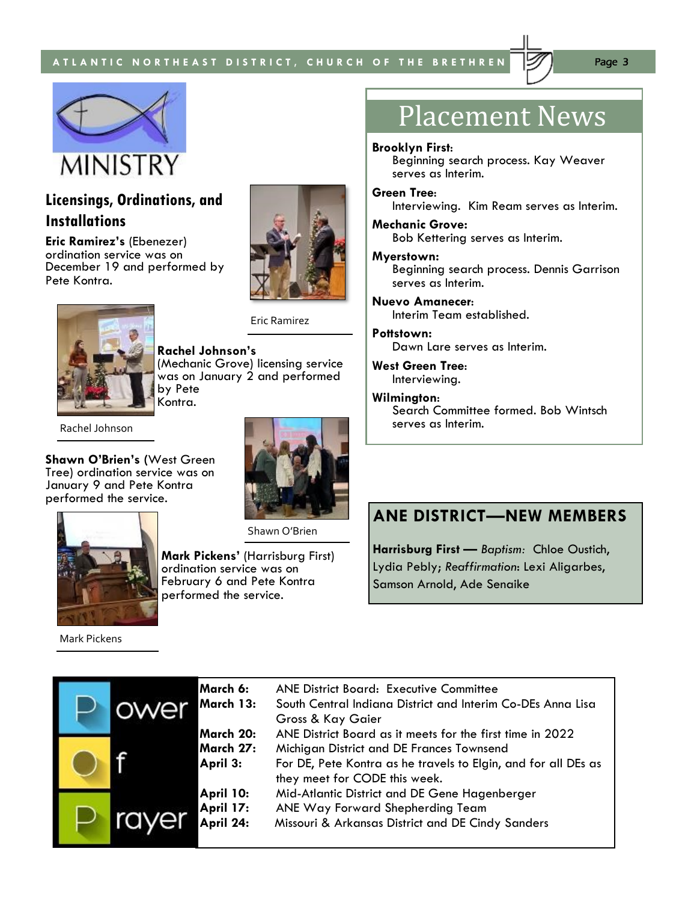



# **Licensings, Ordinations, and Installations**

**Eric Ramirez's** (Ebenezer) ordination service was on December 19 and performed by Pete Kontra.



**Rachel Johnson's**  (Mechanic Grove) licensing service was on January 2 and performed by Pete Kontra.

Eric Ramirez

Rachel Johnson

**Shawn O'Brien's (**West Green Tree) ordination service was on January 9 and Pete Kontra performed the service.



Shawn O'Brien



**Mark Pickens'** (Harrisburg First) ordination service was on February 6 and Pete Kontra performed the service.

# Placement News

#### **Brooklyn First**:

Beginning search process. Kay Weaver serves as Interim.

#### **Green Tree**:

Interviewing. Kim Ream serves as Interim.

#### **Mechanic Grove:**  Bob Kettering serves as Interim.

#### **Myerstown:**

Beginning search process. Dennis Garrison serves as Interim.

# **Nuevo Amanecer**:

Interim Team established.

#### **Pottstown:**

Dawn Lare serves as Interim.

**West Green Tree**: Interviewing.

#### **Wilmington**:

Search Committee formed. Bob Wintsch serves as Interim.

# **ANE DISTRICT—NEW MEMBERS**

**Harrisburg First —** *Baptism:* Chloe Oustich, Lydia Pebly; *Reaffirmation*: Lexi Aligarbes, Samson Arnold, Ade Senaike

|  | March 6:<br>March 13:                      | <b>ANE District Board: Executive Committee</b><br>South Central Indiana District and Interim Co-DEs Anna Lisa<br><b>Gross &amp; Kay Gaier</b>                                                             |
|--|--------------------------------------------|-----------------------------------------------------------------------------------------------------------------------------------------------------------------------------------------------------------|
|  | March 20:<br>March 27:<br>April 3:         | ANE District Board as it meets for the first time in 2022<br>Michigan District and DE Frances Townsend<br>For DE, Pete Kontra as he travels to Elgin, and for all DEs as<br>they meet for CODE this week. |
|  | April 10:<br><b>April 17:</b><br>April 24: | Mid-Atlantic District and DE Gene Hagenberger<br>ANE Way Forward Shepherding Team<br>Missouri & Arkansas District and DE Cindy Sanders                                                                    |

Mark Pickens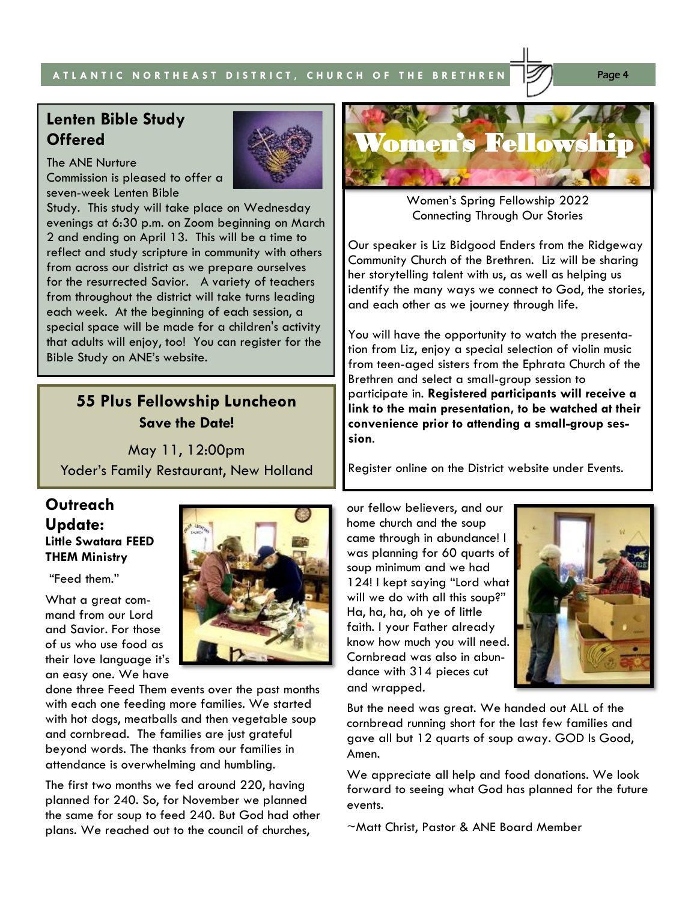#### **A T L A N T I C N O R T H E A S T D I S T R I C T , C H U R C H O F T H E B R E T H R E N** Page 4

# **Lenten Bible Study Offered**

The ANE Nurture Commission is pleased to offer a seven-week Lenten Bible

Study. This study will take place on Wednesday evenings at 6:30 p.m. on Zoom beginning on March 2 and ending on April 13. This will be a time to reflect and study scripture in community with others from across our district as we prepare ourselves for the resurrected Savior. A variety of teachers from throughout the district will take turns leading each week. At the beginning of each session, a special space will be made for a children's activity that adults will enjoy, too! You can register for the Bible Study on ANE's website.

# **55 Plus Fellowship Luncheon Save the Date!**

May 11, 12:00pm Yoder's Family Restaurant, New Holland

#### **Outreach Update: Little Swatara FEED THEM Ministry**

"Feed them."

What a great command from our Lord and Savior. For those of us who use food as their love language it's an easy one. We have

done three Feed Them events over the past months with each one feeding more families. We started with hot dogs, meatballs and then vegetable soup and cornbread. The families are just grateful beyond words. The thanks from our families in attendance is overwhelming and humbling.

The first two months we fed around 220, having planned for 240. So, for November we planned the same for soup to feed 240. But God had other plans. We reached out to the council of churches,





Women's Spring Fellowship 2022 Connecting Through Our Stories

Our speaker is Liz Bidgood Enders from the Ridgeway Community Church of the Brethren. Liz will be sharing her storytelling talent with us, as well as helping us identify the many ways we connect to God, the stories, and each other as we journey through life.

You will have the opportunity to watch the presentation from Liz, enjoy a special selection of violin music from teen-aged sisters from the Ephrata Church of the Brethren and select a small-group session to participate in. **Registered participants will receive a link to the main presentation, to be watched at their convenience prior to attending a small-group session**.

Register online on the District website under Events.

our fellow believers, and our home church and the soup came through in abundance! I was planning for 60 quarts of soup minimum and we had 124! I kept saying "Lord what will we do with all this soup?" Ha, ha, ha, oh ye of little faith. I your Father already know how much you will need. Cornbread was also in abundance with 314 pieces cut and wrapped.



But the need was great. We handed out ALL of the cornbread running short for the last few families and gave all but 12 quarts of soup away. GOD Is Good, Amen.

We appreciate all help and food donations. We look forward to seeing what God has planned for the future events.

~Matt Christ, Pastor & ANE Board Member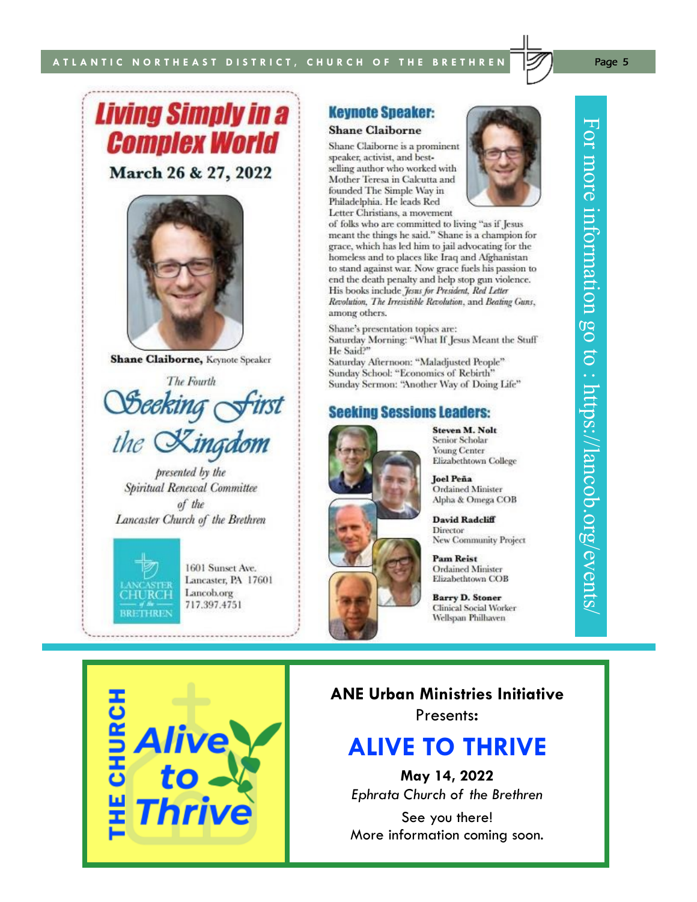# **Living Simply in a Complex World** March 26 & 27, 2022



**Shane Claiborne, Keynote Speaker** 

The Fourth *Deeking c* the Kingdom

presented by the Spiritual Renewal Committee of the Lancaster Church of the Brethren



1601 Sunset Ave. Lancaster, PA 17601 Lancob.org 717.397.4751

#### **Keynote Speaker:**

#### **Shane Claiborne**

Shane Claiborne is a prominent speaker, activist, and bestselling author who worked with Mother Teresa in Calcutta and founded The Simple Way in Philadelphia. He leads Red Letter Christians, a movement



of folks who are committed to living "as if Jesus meant the things he said." Shane is a champion for grace, which has led him to jail advocating for the homeless and to places like Iraq and Afghanistan to stand against war. Now grace fuels his passion to end the death penalty and help stop gun violence. His books include Jesus for President, Red Letter Revolution, The Irresistible Revolution, and Beating Guns, among others.

Shane's presentation topics are: Saturday Morning: "What If Jesus Meant the Stuff" He Said?"

Saturday Afternoon: "Maladjusted People" Sunday School: "Economics of Rebirth" Sunday Sermon: "Another Way of Doing Life"

#### **Seeking Sessions Leaders:**



**Steven M. Nolt** Senior Scholar **Young Center** Elizabethtown College

**Joel Peña Ordained Minister** Alpha & Omega COB

**David Radcliff** Director New Community Project

**Pam Reist Ordained Minister** Elizabethtown COB

**Barry D. Stoner Clinical Social Worker** Wellspan Philhaven

**ANE Urban Ministries Initiative** Presents**:**

# **ALIVE TO THRIVE**

**May 14, 2022**

*Ephrata Church of the Brethren*

See you there! More information coming soon.

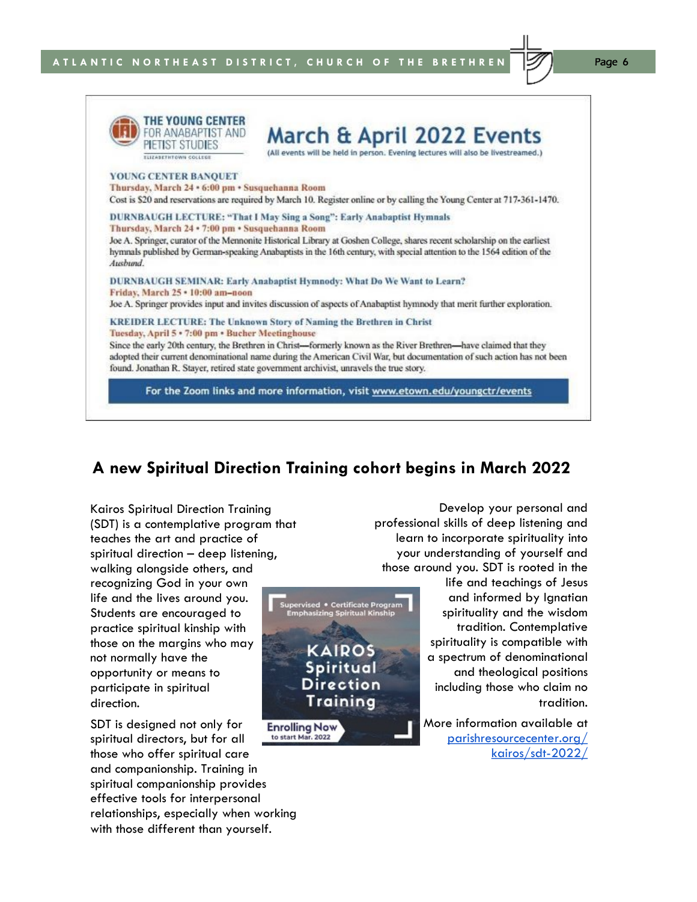

For the Zoom links and more information, visit www.etown.edu/youngctr/events

### **A new Spiritual Direction Training cohort begins in March 2022**

KAIROS Spiritual Direction Training

Kairos Spiritual Direction Training (SDT) is a contemplative program that teaches the art and practice of spiritual direction – deep listening, walking alongside others, and recognizing God in your own life and the lives around you. Students are encouraged to practice spiritual kinship with those on the margins who may not normally have the opportunity or means to participate in spiritual direction.

SDT is designed not only for **Enrolling Now** to start Mar. 2022 spiritual directors, but for all those who offer spiritual care and companionship. Training in spiritual companionship provides effective tools for interpersonal relationships, especially when working with those different than yourself.

Develop your personal and professional skills of deep listening and learn to incorporate spirituality into your understanding of yourself and those around you. SDT is rooted in the

life and teachings of Jesus and informed by Ignatian Supervised • Certificate Program<br>Emphasizing Spiritual Kinship spirituality and the wisdom tradition. Contemplative spirituality is compatible with a spectrum of denominational and theological positions including those who claim no tradition.

> More information available at [parishresourcecenter.org/](https://parishresourcecenter.org/kairos/sdt-2022/) [kairos/sdt-2022/](https://parishresourcecenter.org/kairos/sdt-2022/)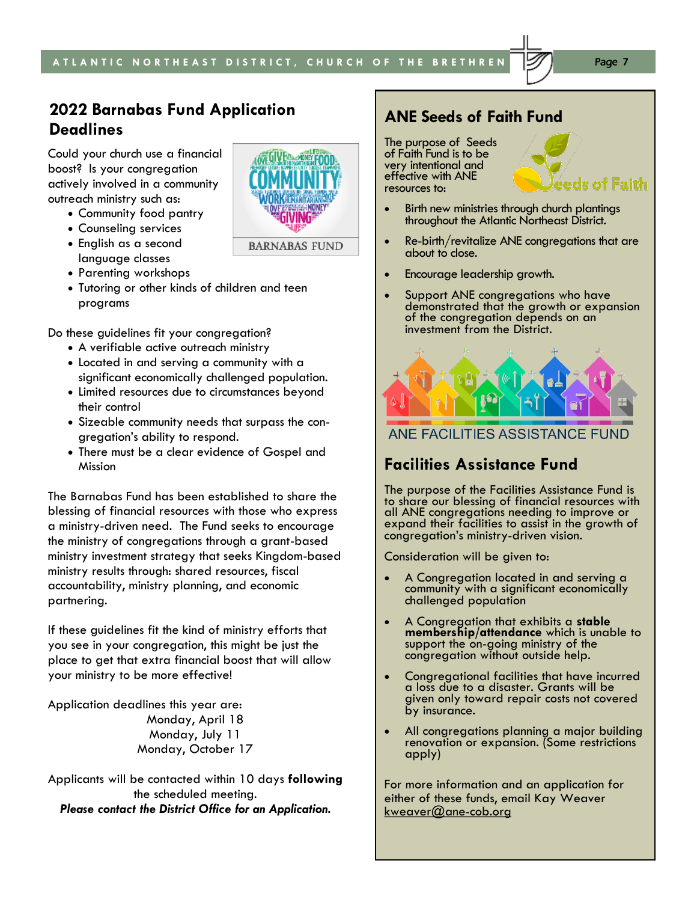# **Intergenerational 2022 Barnabas Fund Application Deadlines**

**Bible Study**  Could your church use a financial boost? Is your congregation actively involved in a community outreach ministry such as:

- Community food pantry
- Counseling services
- English as a second language classes
- Parenting workshops
- Tutoring or other kinds of children and teen programs

Do these guidelines fit your congregation?

- A verifiable active outreach ministry
- Located in and serving a community with a significant economically challenged population.
- Limited resources due to circumstances beyond their control
- Sizeable community needs that surpass the congregation's ability to respond.
- There must be a clear evidence of Gospel and Mission

The Barnabas Fund has been established to share the blessing of financial resources with those who express a ministry-driven need. The Fund seeks to encourage the ministry of congregations through a grant-based ministry investment strategy that seeks Kingdom-based ministry results through: shared resources, fiscal accountability, ministry planning, and economic partnering.

If these guidelines fit the kind of ministry efforts that you see in your congregation, this might be just the place to get that extra financial boost that will allow your ministry to be more effective!

Application deadlines this year are: Monday, April 18 Monday, July 11 Monday, October 17

Applicants will be contacted within 10 days **following** the scheduled meeting. *Please contact the District Office for an Application.*

## **ANE Seeds of Faith Fund**

The purpose of Seeds of Faith Fund is to be very intentional and effective with ANE resources to:



- Re-birth/revitalize ANE congregations that are about to close.
- Encourage leadership growth.
- Support ANE congregations who have demonstrated that the growth or expansion of the congregation depends on an investment from the District.



ANE FACILITIES ASSISTANCE FUND

## **Facilities Assistance Fund**

The purpose of the Facilities Assistance Fund is to share our blessing of financial resources with all ANE congregations needing to improve or expand their facilities to assist in the growth of congregation's ministry-driven vision.

Consideration will be given to:

- A Congregation located in and serving a community with a significant economically challenged population
- A Congregation that exhibits a **stable membership/attendance** which is unable to support the on-going ministry of the congregation without outside help.
- Congregational facilities that have incurred a loss due to a disaster. Grants will be given only toward repair costs not covered by insurance.
- All congregations planning a major building renovation or expansion. (Some restrictions apply)

For more information and an application for either of these funds, email Kay Weaver kweaver@ane-cob.org



eeds of Faith